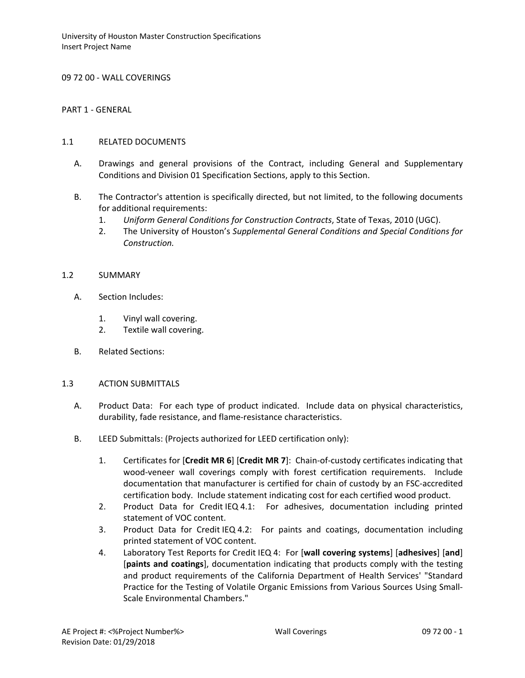09 72 00 - WALL COVERINGS

PART 1 - GENERAL

### 1.1 RELATED DOCUMENTS

- A. Drawings and general provisions of the Contract, including General and Supplementary Conditions and Division 01 Specification Sections, apply to this Section.
- B. The Contractor's attention is specifically directed, but not limited, to the following documents for additional requirements:
	- 1. *Uniform General Conditions for Construction Contracts*, State of Texas, 2010 (UGC).
	- 2. The University of Houston's *Supplemental General Conditions and Special Conditions for Construction.*

## 1.2 SUMMARY

- A. Section Includes:
	- 1. Vinyl wall covering.
	- 2. Textile wall covering.
- B. Related Sections:

#### 1.3 ACTION SUBMITTALS

- A. Product Data: For each type of product indicated. Include data on physical characteristics, durability, fade resistance, and flame-resistance characteristics.
- B. LEED Submittals: (Projects authorized for LEED certification only):
	- 1. Certificates for [**Credit MR 6**] [**Credit MR 7**]: Chain-of-custody certificates indicating that wood-veneer wall coverings comply with forest certification requirements. Include documentation that manufacturer is certified for chain of custody by an FSC-accredited certification body. Include statement indicating cost for each certified wood product.
	- 2. Product Data for Credit IEQ 4.1: For adhesives, documentation including printed statement of VOC content.
	- 3. Product Data for Credit IEQ 4.2: For paints and coatings, documentation including printed statement of VOC content.
	- 4. Laboratory Test Reports for Credit IEQ 4: For [**wall covering systems**] [**adhesives**] [**and**] [**paints and coatings**], documentation indicating that products comply with the testing and product requirements of the California Department of Health Services' "Standard Practice for the Testing of Volatile Organic Emissions from Various Sources Using Small-Scale Environmental Chambers."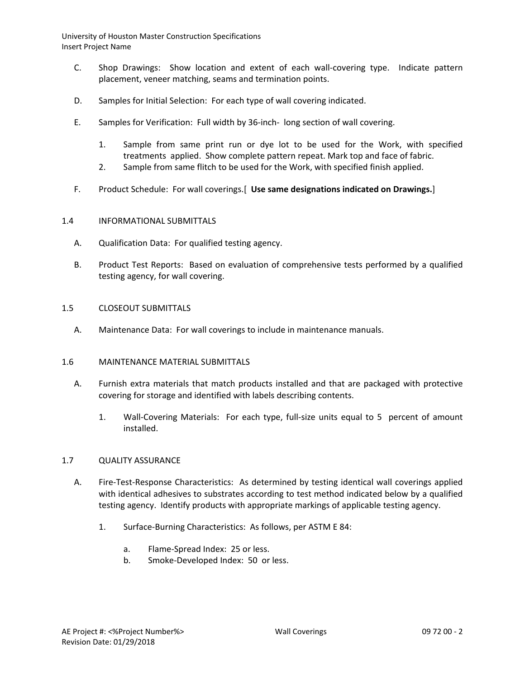- C. Shop Drawings: Show location and extent of each wall-covering type. Indicate pattern placement, veneer matching, seams and termination points.
- D. Samples for Initial Selection: For each type of wall covering indicated.
- E. Samples for Verification: Full width by 36-inch- long section of wall covering.
	- 1. Sample from same print run or dye lot to be used for the Work, with specified treatments applied. Show complete pattern repeat. Mark top and face of fabric.
	- 2. Sample from same flitch to be used for the Work, with specified finish applied.
- F. Product Schedule: For wall coverings.[ **Use same designations indicated on Drawings.**]

## 1.4 INFORMATIONAL SUBMITTALS

- A. Qualification Data: For qualified testing agency.
- B. Product Test Reports: Based on evaluation of comprehensive tests performed by a qualified testing agency, for wall covering.

## 1.5 CLOSEOUT SUBMITTALS

A. Maintenance Data: For wall coverings to include in maintenance manuals.

# 1.6 MAINTENANCE MATERIAL SUBMITTALS

- A. Furnish extra materials that match products installed and that are packaged with protective covering for storage and identified with labels describing contents.
	- 1. Wall-Covering Materials: For each type, full-size units equal to 5 percent of amount installed.

#### 1.7 QUALITY ASSURANCE

- A. Fire-Test-Response Characteristics: As determined by testing identical wall coverings applied with identical adhesives to substrates according to test method indicated below by a qualified testing agency. Identify products with appropriate markings of applicable testing agency.
	- 1. Surface-Burning Characteristics: As follows, per ASTM E 84:
		- a. Flame-Spread Index: 25 or less.
		- b. Smoke-Developed Index: 50 or less.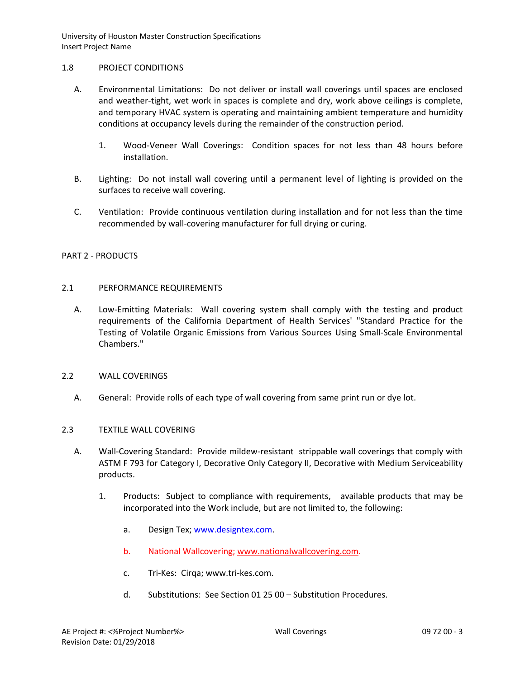### 1.8 PROJECT CONDITIONS

- A. Environmental Limitations: Do not deliver or install wall coverings until spaces are enclosed and weather-tight, wet work in spaces is complete and dry, work above ceilings is complete, and temporary HVAC system is operating and maintaining ambient temperature and humidity conditions at occupancy levels during the remainder of the construction period.
	- 1. Wood-Veneer Wall Coverings: Condition spaces for not less than 48 hours before installation.
- B. Lighting: Do not install wall covering until a permanent level of lighting is provided on the surfaces to receive wall covering.
- C. Ventilation: Provide continuous ventilation during installation and for not less than the time recommended by wall-covering manufacturer for full drying or curing.

# PART 2 - PRODUCTS

## 2.1 PERFORMANCE REQUIREMENTS

A. Low-Emitting Materials: Wall covering system shall comply with the testing and product requirements of the California Department of Health Services' "Standard Practice for the Testing of Volatile Organic Emissions from Various Sources Using Small-Scale Environmental Chambers."

#### 2.2 WALL COVERINGS

A. General: Provide rolls of each type of wall covering from same print run or dye lot.

# 2.3 TEXTILE WALL COVERING

- A. Wall-Covering Standard: Provide mildew-resistant strippable wall coverings that comply with ASTM F 793 for Category I, Decorative Only Category II, Decorative with Medium Serviceability products.
	- 1. Products: Subject to compliance with requirements, available products that may be incorporated into the Work include, but are not limited to, the following:
		- a. Design Tex; [www.designtex.com.](http://www.designtex.com/)
		- b. National Wallcovering; [www.nationalwallcovering.com.](http://www.nationalwallcovering.com/)
		- c. Tri-Kes: Cirqa; www.tri-kes.com.
		- d. Substitutions: See Section 01 25 00 Substitution Procedures.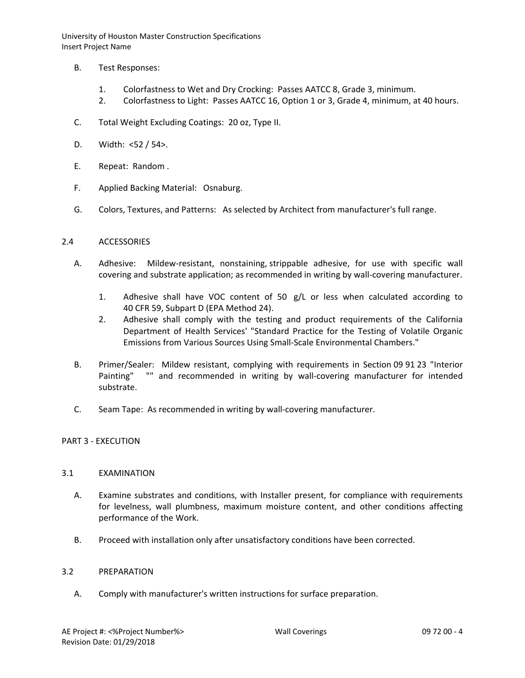- B. Test Responses:
	- 1. Colorfastness to Wet and Dry Crocking: Passes AATCC 8, Grade 3, minimum.
	- 2. Colorfastness to Light: Passes AATCC 16, Option 1 or 3, Grade 4, minimum, at 40 hours.
- C. Total Weight Excluding Coatings: 20 oz, Type II.
- D. Width: <52 / 54>.
- E. Repeat: Random .
- F. Applied Backing Material: Osnaburg.
- G. Colors, Textures, and Patterns: As selected by Architect from manufacturer's full range.

## 2.4 ACCESSORIES

- A. Adhesive: Mildew-resistant, nonstaining, strippable adhesive, for use with specific wall covering and substrate application; as recommended in writing by wall-covering manufacturer.
	- 1. Adhesive shall have VOC content of 50 g/L or less when calculated according to 40 CFR 59, Subpart D (EPA Method 24).
	- 2. Adhesive shall comply with the testing and product requirements of the California Department of Health Services' "Standard Practice for the Testing of Volatile Organic Emissions from Various Sources Using Small-Scale Environmental Chambers."
- B. Primer/Sealer: Mildew resistant, complying with requirements in Section 09 91 23 "Interior Painting" "" and recommended in writing by wall-covering manufacturer for intended substrate.
- C. Seam Tape: As recommended in writing by wall-covering manufacturer.

# PART 3 - EXECUTION

#### 3.1 EXAMINATION

- A. Examine substrates and conditions, with Installer present, for compliance with requirements for levelness, wall plumbness, maximum moisture content, and other conditions affecting performance of the Work.
- B. Proceed with installation only after unsatisfactory conditions have been corrected.

#### 3.2 PREPARATION

A. Comply with manufacturer's written instructions for surface preparation.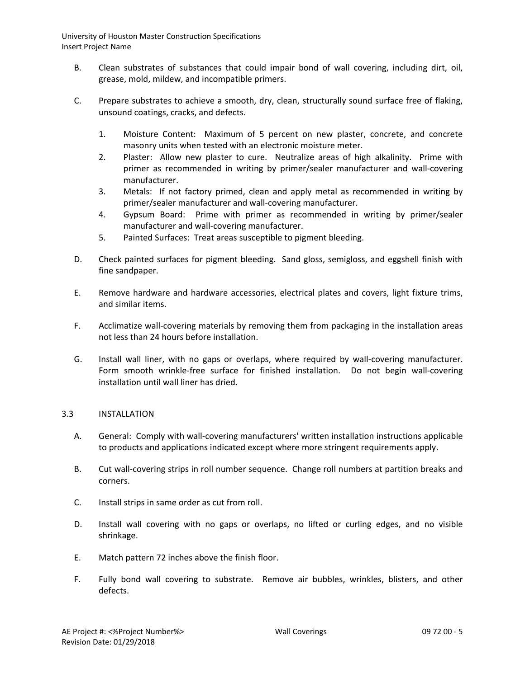- B. Clean substrates of substances that could impair bond of wall covering, including dirt, oil, grease, mold, mildew, and incompatible primers.
- C. Prepare substrates to achieve a smooth, dry, clean, structurally sound surface free of flaking, unsound coatings, cracks, and defects.
	- 1. Moisture Content: Maximum of 5 percent on new plaster, concrete, and concrete masonry units when tested with an electronic moisture meter.
	- 2. Plaster: Allow new plaster to cure. Neutralize areas of high alkalinity. Prime with primer as recommended in writing by primer/sealer manufacturer and wall-covering manufacturer.
	- 3. Metals: If not factory primed, clean and apply metal as recommended in writing by primer/sealer manufacturer and wall-covering manufacturer.
	- 4. Gypsum Board: Prime with primer as recommended in writing by primer/sealer manufacturer and wall-covering manufacturer.
	- 5. Painted Surfaces: Treat areas susceptible to pigment bleeding.
- D. Check painted surfaces for pigment bleeding. Sand gloss, semigloss, and eggshell finish with fine sandpaper.
- E. Remove hardware and hardware accessories, electrical plates and covers, light fixture trims, and similar items.
- F. Acclimatize wall-covering materials by removing them from packaging in the installation areas not less than 24 hours before installation.
- G. Install wall liner, with no gaps or overlaps, where required by wall-covering manufacturer. Form smooth wrinkle-free surface for finished installation. Do not begin wall-covering installation until wall liner has dried.

# 3.3 INSTALLATION

- A. General: Comply with wall-covering manufacturers' written installation instructions applicable to products and applications indicated except where more stringent requirements apply.
- B. Cut wall-covering strips in roll number sequence. Change roll numbers at partition breaks and corners.
- C. Install strips in same order as cut from roll.
- D. Install wall covering with no gaps or overlaps, no lifted or curling edges, and no visible shrinkage.
- E. Match pattern 72 inches above the finish floor.
- F. Fully bond wall covering to substrate. Remove air bubbles, wrinkles, blisters, and other defects.